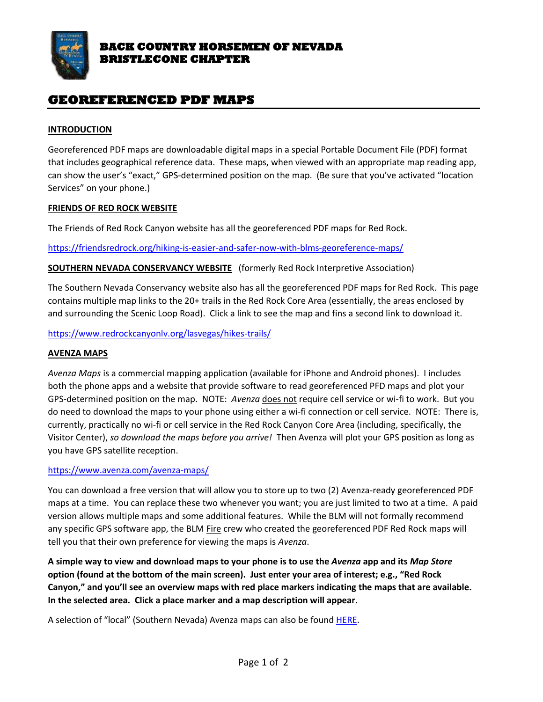

# **GEOREFERENCED PDF MAPS**

### **INTRODUCTION**

Georeferenced PDF maps are downloadable digital maps in a special Portable Document File (PDF) format that includes geographical reference data. These maps, when viewed with an appropriate map reading app, can show the user's "exact," GPS-determined position on the map. (Be sure that you've activated "location Services" on your phone.)

#### **FRIENDS OF RED ROCK WEBSITE**

The Friends of Red Rock Canyon website has all the georeferenced PDF maps for Red Rock.

<https://friendsredrock.org/hiking-is-easier-and-safer-now-with-blms-georeference-maps/>

# **SOUTHERN NEVADA CONSERVANCY WEBSITE** (formerly Red Rock Interpretive Association)

The Southern Nevada Conservancy website also has all the georeferenced PDF maps for Red Rock. This page contains multiple map links to the 20+ trails in the Red Rock Core Area (essentially, the areas enclosed by and surrounding the Scenic Loop Road). Click a link to see the map and fins a second link to download it.

<https://www.redrockcanyonlv.org/lasvegas/hikes-trails/>

### **AVENZA MAPS**

*Avenza Maps* is a commercial mapping application (available for iPhone and Android phones). I includes both the phone apps and a website that provide software to read georeferenced PFD maps and plot your GPS-determined position on the map. NOTE: *Avenza* does not require cell service or wi-fi to work. But you do need to download the maps to your phone using either a wi-fi connection or cell service. NOTE: There is, currently, practically no wi-fi or cell service in the Red Rock Canyon Core Area (including, specifically, the Visitor Center), *so download the maps before you arrive!* Then Avenza will plot your GPS position as long as you have GPS satellite reception.

#### <https://www.avenza.com/avenza-maps/>

You can download a free version that will allow you to store up to two (2) Avenza-ready georeferenced PDF maps at a time. You can replace these two whenever you want; you are just limited to two at a time. A paid version allows multiple maps and some additional features. While the BLM will not formally recommend any specific GPS software app, the BLM Fire crew who created the georeferenced PDF Red Rock maps will tell you that their own preference for viewing the maps is *Avenza*.

**A simple way to view and download maps to your phone is to use the** *Avenza* **app and its** *Map Store* **option (found at the bottom of the main screen). Just enter your area of interest; e.g., "Red Rock Canyon," and you'll see an overview maps with red place markers indicating the maps that are available. In the selected area. Click a place marker and a map description will appear.**

A selection of "local" (Southern Nevada) Avenza maps can also be found [HERE.](https://www.avenzamaps.com/maps/search.html?query=&location_mode=suggest_input&location=Las%20Vegas%2C%20NV%2C%20USA&sort=relevance&price_max=&page=0&debug=¤t_map_id=&location_box=36.3%2C-114.94999999999999%2C35.95%2C-115.39999999999998&vendor_ids=&category_ids=&merge_mode=v4&debug_ids=)